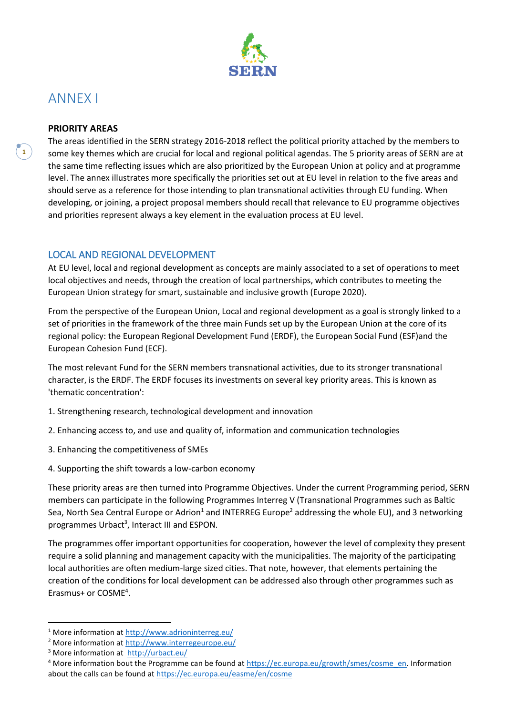

# ANNEX I

**1**

#### **PRIORITY AREAS**

The areas identified in the SERN strategy 2016-2018 reflect the political priority attached by the members to some key themes which are crucial for local and regional political agendas. The 5 priority areas of SERN are at the same time reflecting issues which are also prioritized by the European Union at policy and at programme level. The annex illustrates more specifically the priorities set out at EU level in relation to the five areas and should serve as a reference for those intending to plan transnational activities through EU funding. When developing, or joining, a project proposal members should recall that relevance to EU programme objectives and priorities represent always a key element in the evaluation process at EU level.

### LOCAL AND REGIONAL DEVELOPMENT

At EU level, local and regional development as concepts are mainly associated to a set of operations to meet local objectives and needs, through the creation of local partnerships, which contributes to meeting the European Union strategy for smart, sustainable and inclusive growth (Europe 2020).

From the perspective of the European Union, Local and regional development as a goal is strongly linked to a set of priorities in the framework of the three main Funds set up by the European Union at the core of its regional policy: the European Regional Development Fund (ERDF), the European Social Fund (ESF)and the European Cohesion Fund (ECF).

The most relevant Fund for the SERN members transnational activities, due to its stronger transnational character, is the ERDF. The ERDF focuses its investments on several key priority areas. This is known as 'thematic concentration':

- 1. Strengthening research, technological development and innovation
- 2. Enhancing access to, and use and quality of, information and communication technologies
- 3. Enhancing the competitiveness of SMEs
- 4. Supporting the shift towards a low-carbon economy

These priority areas are then turned into Programme Objectives. Under the current Programming period, SERN members can participate in the following Programmes Interreg V (Transnational Programmes such as Baltic Sea, North Sea Central Europe or Adrion<sup>1</sup> and INTERREG Europe<sup>2</sup> addressing the whole EU), and 3 networking programmes Urbact<sup>3</sup>, Interact III and ESPON.

The programmes offer important opportunities for cooperation, however the level of complexity they present require a solid planning and management capacity with the municipalities. The majority of the participating local authorities are often medium-large sized cities. That note, however, that elements pertaining the creation of the conditions for local development can be addressed also through other programmes such as Erasmus+ or COSME<sup>4</sup>.

1

<sup>&</sup>lt;sup>1</sup> More information at<http://www.adrioninterreg.eu/>

<sup>&</sup>lt;sup>2</sup> More information at<http://www.interregeurope.eu/>

<sup>3</sup> More information at <http://urbact.eu/>

<sup>&</sup>lt;sup>4</sup> More information bout the Programme can be found at [https://ec.europa.eu/growth/smes/cosme\\_en.](https://ec.europa.eu/growth/smes/cosme_en) Information about the calls can be found at<https://ec.europa.eu/easme/en/cosme>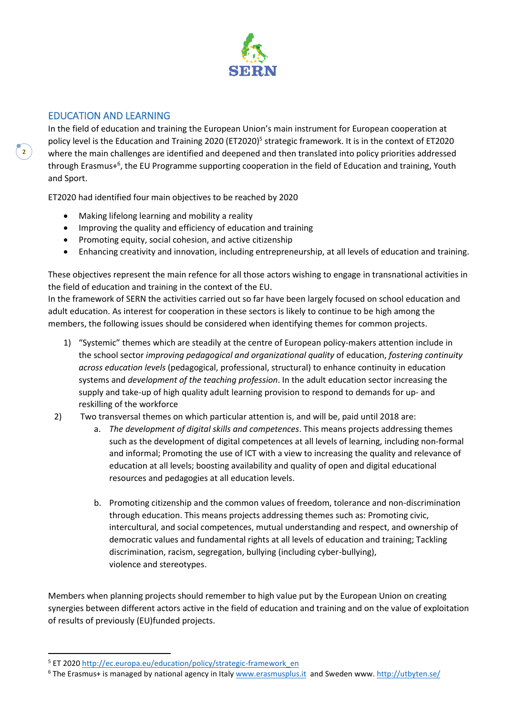

## EDUCATION AND LEARNING

**2**

**.** 

In the field of education and training the European Union's main instrument for European cooperation at policy level is the Education and Training 2020 (ET2020)<sup>5</sup> strategic framework. It is in the context of ET2020 where the main challenges are identified and deepened and then translated into policy priorities addressed through Erasmus+<sup>6</sup>, the EU Programme supporting cooperation in the field of Education and training, Youth and Sport.

ET2020 had identified four main objectives to be reached by 2020

- Making lifelong learning and mobility a reality
- Improving the quality and efficiency of education and training
- Promoting equity, social cohesion, and active citizenship
- Enhancing creativity and innovation, including entrepreneurship, at all levels of education and training.

These objectives represent the main refence for all those actors wishing to engage in transnational activities in the field of education and training in the context of the EU.

In the framework of SERN the activities carried out so far have been largely focused on school education and adult education. As interest for cooperation in these sectors is likely to continue to be high among the members, the following issues should be considered when identifying themes for common projects.

- 1) "Systemic" themes which are steadily at the centre of European policy-makers attention include in the school sector *improving pedagogical and organizational quality* of education, *fostering continuity across education levels* (pedagogical, professional, structural) to enhance continuity in education systems and *development of the teaching profession*. In the adult education sector increasing the supply and take-up of high quality adult learning provision to respond to demands for up- and reskilling of the workforce
- 2) Two transversal themes on which particular attention is, and will be, paid until 2018 are:
	- a. *The development of digital skills and competences*. This means projects addressing themes such as the development of digital competences at all levels of learning, including non-formal and informal; Promoting the use of ICT with a view to increasing the quality and relevance of education at all levels; boosting availability and quality of open and digital educational resources and pedagogies at all education levels.
	- b. Promoting citizenship and the common values of freedom, tolerance and non-discrimination through education. This means projects addressing themes such as: Promoting civic, intercultural, and social competences, mutual understanding and respect, and ownership of democratic values and fundamental rights at all levels of education and training; Tackling discrimination, racism, segregation, bullying (including cyber-bullying), violence and stereotypes.

Members when planning projects should remember to high value put by the European Union on creating synergies between different actors active in the field of education and training and on the value of exploitation of results of previously (EU)funded projects.

<sup>&</sup>lt;sup>5</sup> ET 2020 [http://ec.europa.eu/education/policy/strategic-framework\\_en](http://ec.europa.eu/education/policy/strategic-framework_en)

<sup>&</sup>lt;sup>6</sup> The Erasmus+ is managed by national agency in Ital[y www.erasmusplus.it](http://www.erasmusplus.it/) and Sweden www. <http://utbyten.se/>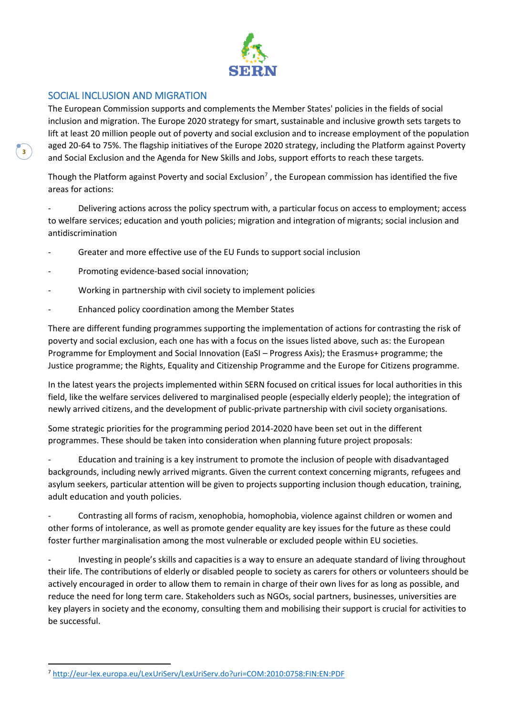

## SOCIAL INCLUSION AND MIGRATION

**3**

 $\overline{a}$ 

The European Commission supports and complements the Member States' policies in the fields of social inclusion and migration. The Europe 2020 strategy for smart, sustainable and inclusive growth sets targets to lift at least 20 million people out of poverty and social exclusion and to increase employment of the population aged 20-64 to 75%. The flagship initiatives of the Europe 2020 strategy, including the Platform against Poverty and Social Exclusion and the Agenda for New Skills and Jobs, support efforts to reach these targets.

Though the Platform against Poverty and social Exclusion<sup>7</sup>, the European commission has identified the five areas for actions:

Delivering actions across the policy spectrum with, a particular focus on access to employment; access to welfare services; education and youth policies; migration and integration of migrants; social inclusion and antidiscrimination

- Greater and more effective use of the EU Funds to support social inclusion
- Promoting evidence-based social innovation;
- Working in partnership with civil society to implement policies
- Enhanced policy coordination among the Member States

There are different funding programmes supporting the implementation of actions for contrasting the risk of poverty and social exclusion, each one has with a focus on the issues listed above, such as: the European Programme for Employment and Social Innovation (EaSI – Progress Axis); the Erasmus+ programme; the Justice programme; the Rights, Equality and Citizenship Programme and the Europe for Citizens programme.

In the latest years the projects implemented within SERN focused on critical issues for local authorities in this field, like the welfare services delivered to marginalised people (especially elderly people); the integration of newly arrived citizens, and the development of public-private partnership with civil society organisations.

Some strategic priorities for the programming period 2014-2020 have been set out in the different programmes. These should be taken into consideration when planning future project proposals:

- Education and training is a key instrument to promote the inclusion of people with disadvantaged backgrounds, including newly arrived migrants. Given the current context concerning migrants, refugees and asylum seekers, particular attention will be given to projects supporting inclusion though education, training, adult education and youth policies.

- Contrasting all forms of racism, xenophobia, homophobia, violence against children or women and other forms of intolerance, as well as promote gender equality are key issues for the future as these could foster further marginalisation among the most vulnerable or excluded people within EU societies.

Investing in people's skills and capacities is a way to ensure an adequate standard of living throughout their life. The contributions of elderly or disabled people to society as carers for others or volunteers should be actively encouraged in order to allow them to remain in charge of their own lives for as long as possible, and reduce the need for long term care. Stakeholders such as NGOs, social partners, businesses, universities are key players in society and the economy, consulting them and mobilising their support is crucial for activities to be successful.

<sup>7</sup> <http://eur-lex.europa.eu/LexUriServ/LexUriServ.do?uri=COM:2010:0758:FIN:EN:PDF>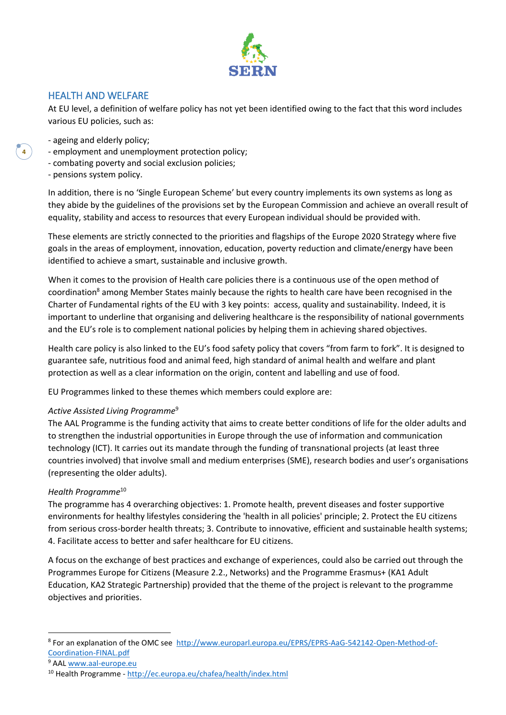

## HEALTH AND WELFARE

At EU level, a definition of welfare policy has not yet been identified owing to the fact that this word includes various EU policies, such as:

- ageing and elderly policy;
- employment and unemployment protection policy;
- combating poverty and social exclusion policies;
- pensions system policy.

**4**

In addition, there is no 'Single European Scheme' but every country implements its own systems as long as they abide by the guidelines of the provisions set by the European Commission and achieve an overall result of equality, stability and access to resources that every European individual should be provided with.

These elements are strictly connected to the priorities and flagships of the Europe 2020 Strategy where five goals in the areas of employment, innovation, education, poverty reduction and climate/energy have been identified to achieve a smart, sustainable and inclusive growth.

When it comes to the provision of Health care policies there is a continuous use of the open method of coordination<sup>8</sup> among Member States mainly because the rights to health care have been recognised in the Charter of Fundamental rights of the EU with 3 key points: access, quality and sustainability. Indeed, it is important to underline that organising and delivering healthcare is the responsibility of national governments and the EU's role is to complement national policies by helping them in achieving shared objectives.

Health care policy is also linked to the EU's food safety policy that covers "from farm to fork". It is designed to guarantee safe, nutritious food and animal feed, high standard of animal health and welfare and plant protection as well as a clear information on the origin, content and labelling and use of food.

EU Programmes linked to these themes which members could explore are:

#### *Active Assisted Living Programme*<sup>9</sup>

The AAL Programme is the funding activity that aims to create better conditions of life for the older adults and to strengthen the industrial opportunities in Europe through the use of information and communication technology (ICT). It carries out its mandate through the funding of transnational projects (at least three countries involved) that involve small and medium enterprises (SME), research bodies and user's organisations (representing the older adults).

#### *Health Programme*<sup>10</sup>

The programme has 4 overarching objectives: 1. Promote health, prevent diseases and foster supportive environments for healthy lifestyles considering the 'health in all policies' principle; 2. Protect the EU citizens from serious cross-border health threats; 3. Contribute to innovative, efficient and sustainable health systems; 4. Facilitate access to better and safer healthcare for EU citizens.

A focus on the exchange of best practices and exchange of experiences, could also be carried out through the Programmes Europe for Citizens (Measure 2.2., Networks) and the Programme Erasmus+ (KA1 Adult Education, KA2 Strategic Partnership) provided that the theme of the project is relevant to the programme objectives and priorities.

 $\overline{a}$ 

<sup>&</sup>lt;sup>8</sup> For an explanation of the OMC see [http://www.europarl.europa.eu/EPRS/EPRS-AaG-542142-Open-Method-of-](http://www.europarl.europa.eu/EPRS/EPRS-AaG-542142-Open-Method-of-Coordination-FINAL.pdf)[Coordination-FINAL.pdf](http://www.europarl.europa.eu/EPRS/EPRS-AaG-542142-Open-Method-of-Coordination-FINAL.pdf)

<sup>9</sup> AAL [www.aal-europe.eu](http://www.aal-europe.eu/)

<sup>10</sup> Health Programme - <http://ec.europa.eu/chafea/health/index.html>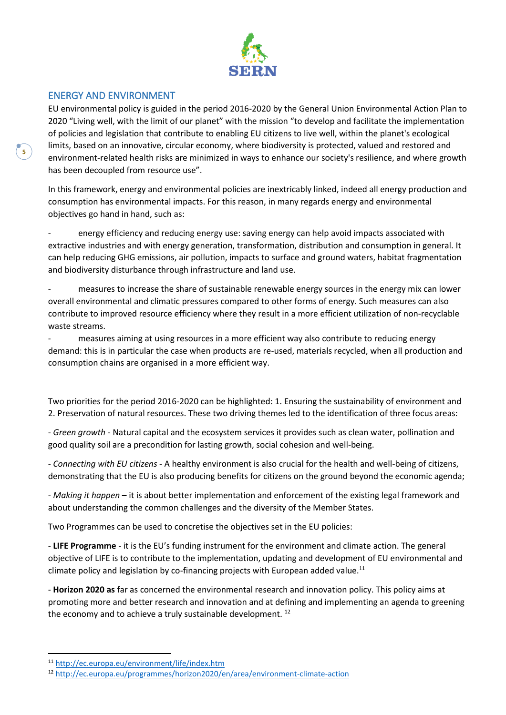

### ENERGY AND ENVIRONMENT

EU environmental policy is guided in the period 2016-2020 by the General Union Environmental Action Plan to 2020 "Living well, with the limit of our planet" with the mission "to develop and facilitate the implementation of policies and legislation that contribute to enabling EU citizens to live well, within the planet's ecological limits, based on an innovative, circular economy, where biodiversity is protected, valued and restored and environment-related health risks are minimized in ways to enhance our society's resilience, and where growth has been decoupled from resource use".

In this framework, energy and environmental policies are inextricably linked, indeed all energy production and consumption has environmental impacts. For this reason, in many regards energy and environmental objectives go hand in hand, such as:

energy efficiency and reducing energy use: saving energy can help avoid impacts associated with extractive industries and with energy generation, transformation, distribution and consumption in general. It can help reducing GHG emissions, air pollution, impacts to surface and ground waters, habitat fragmentation and biodiversity disturbance through infrastructure and land use.

measures to increase the share of sustainable renewable energy sources in the energy mix can lower overall environmental and climatic pressures compared to other forms of energy. Such measures can also contribute to improved resource efficiency where they result in a more efficient utilization of non-recyclable waste streams.

measures aiming at using resources in a more efficient way also contribute to reducing energy demand: this is in particular the case when products are re-used, materials recycled, when all production and consumption chains are organised in a more efficient way.

Two priorities for the period 2016-2020 can be highlighted: 1. Ensuring the sustainability of environment and 2. Preservation of natural resources. These two driving themes led to the identification of three focus areas:

- *Green growth* - Natural capital and the ecosystem services it provides such as clean water, pollination and good quality soil are a precondition for lasting growth, social cohesion and well-being.

- *Connecting with EU citizens* - A healthy environment is also crucial for the health and well-being of citizens, demonstrating that the EU is also producing benefits for citizens on the ground beyond the economic agenda;

- *Making it happen* – it is about better implementation and enforcement of the existing legal framework and about understanding the common challenges and the diversity of the Member States.

Two Programmes can be used to concretise the objectives set in the EU policies:

- **LIFE Programme** - it is the EU's funding instrument for the environment and climate action. The general objective of LIFE is to contribute to the implementation, updating and development of EU environmental and climate policy and legislation by co-financing projects with European added value. $11$ 

- **Horizon 2020 as** far as concerned the environmental research and innovation policy. This policy aims at promoting more and better research and innovation and at defining and implementing an agenda to greening the economy and to achieve a truly sustainable development.  $^{12}$ 

**.** 

<sup>11</sup> <http://ec.europa.eu/environment/life/index.htm>

<sup>12</sup> <http://ec.europa.eu/programmes/horizon2020/en/area/environment-climate-action>